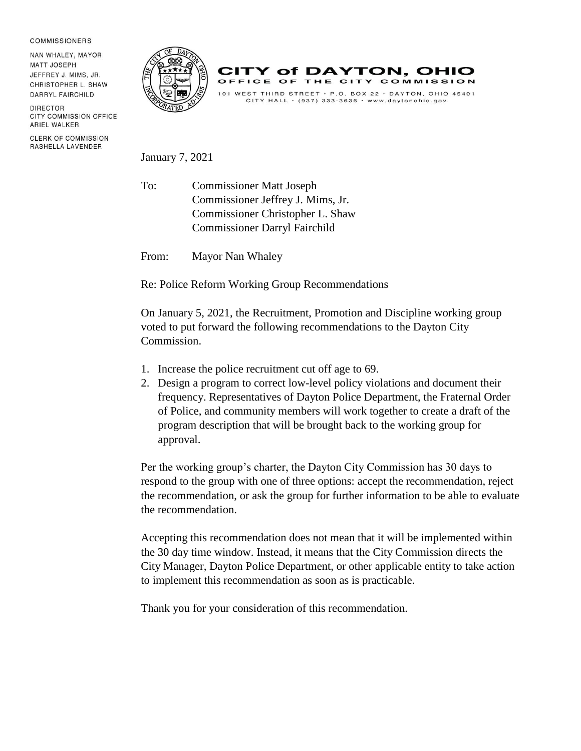## **COMMISSIONERS**

NAN WHALEY, MAYOR **MATT JOSEPH** JEFFREY J. MIMS, JR. CHRISTOPHER L. SHAW DARRYL FAIRCHILD

DIRECTOR CITY COMMISSION OFFICE ARIEL WALKER

**CLERK OF COMMISSION** RASHELLA LAVENDER





January 7, 2021

To: Commissioner Matt Joseph Commissioner Jeffrey J. Mims, Jr. Commissioner Christopher L. Shaw Commissioner Darryl Fairchild

From: Mayor Nan Whaley

Re: Police Reform Working Group Recommendations

On January 5, 2021, the Recruitment, Promotion and Discipline working group voted to put forward the following recommendations to the Dayton City Commission.

- 1. Increase the police recruitment cut off age to 69.
- 2. Design a program to correct low-level policy violations and document their frequency. Representatives of Dayton Police Department, the Fraternal Order of Police, and community members will work together to create a draft of the program description that will be brought back to the working group for approval.

Per the working group's charter, the Dayton City Commission has 30 days to respond to the group with one of three options: accept the recommendation, reject the recommendation, or ask the group for further information to be able to evaluate the recommendation.

Accepting this recommendation does not mean that it will be implemented within the 30 day time window. Instead, it means that the City Commission directs the City Manager, Dayton Police Department, or other applicable entity to take action to implement this recommendation as soon as is practicable.

Thank you for your consideration of this recommendation.